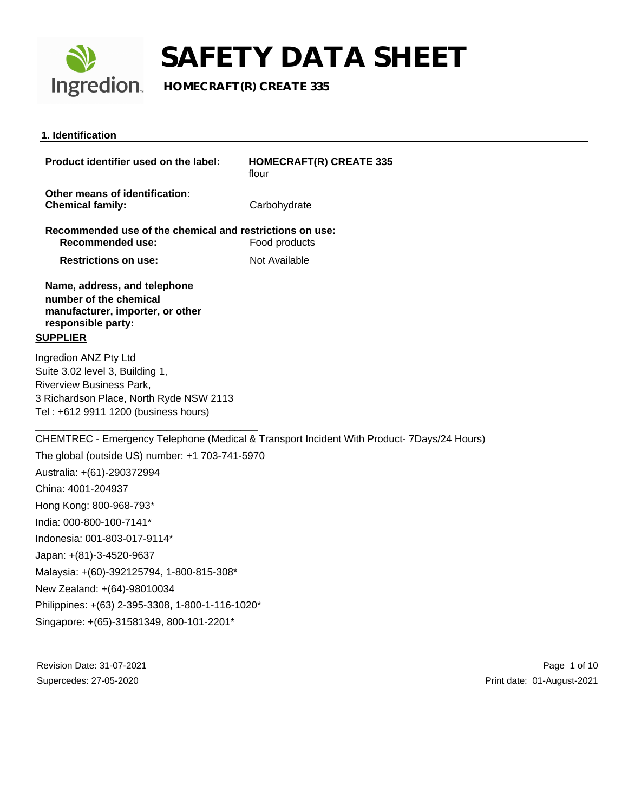

**Ingredion** HOMECRAFT(R) CREATE 335

#### **1. Identification**

| Product identifier used on the label:                                                                                                                                    | <b>HOMECRAFT(R) CREATE 335</b><br>flour |
|--------------------------------------------------------------------------------------------------------------------------------------------------------------------------|-----------------------------------------|
| Other means of identification:<br><b>Chemical family:</b>                                                                                                                | Carbohydrate                            |
| Recommended use of the chemical and restrictions on use:<br>Recommended use:                                                                                             | Food products                           |
| <b>Restrictions on use:</b>                                                                                                                                              | Not Available                           |
| Name, address, and telephone<br>number of the chemical<br>manufacturer, importer, or other<br>responsible party:<br><u>SUPPLIER</u>                                      |                                         |
| Ingredion ANZ Pty Ltd<br>Suite 3.02 level 3, Building 1,<br>Riverview Business Park,<br>3 Richardson Place, North Ryde NSW 2113<br>Tel : +612 9911 1200 (business hours) |                                         |

CHEMTREC - Emergency Telephone (Medical & Transport Incident With Product- 7Days/24 Hours) The global (outside US) number: +1 703-741-5970 Australia: +(61)-290372994 China: 4001-204937 Hong Kong: 800-968-793\* India: 000-800-100-7141\* Indonesia: 001-803-017-9114\* Japan: +(81)-3-4520-9637 Malaysia: +(60)-392125794, 1-800-815-308\* New Zealand: +(64)-98010034

Philippines: +(63) 2-395-3308, 1-800-1-116-1020\*

Singapore: +(65)-31581349, 800-101-2201\*

Revision Date: 31-07-2021 Supercedes: 27-05-2020

 Page 1 of 10 Print date: 01-August-2021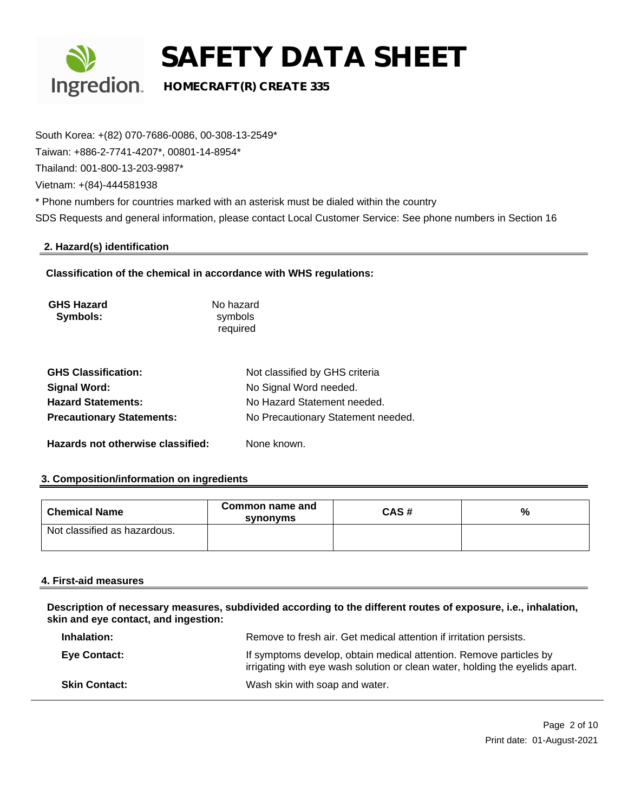

### **Ingredion**. HOMECRAFT(R) CREATE 335

South Korea: +(82) 070-7686-0086, 00-308-13-2549\* Taiwan: +886-2-7741-4207\*, 00801-14-8954\* Thailand: 001-800-13-203-9987\* Vietnam: +(84)-444581938 \* Phone numbers for countries marked with an asterisk must be dialed within the country SDS Requests and general information, please contact Local Customer Service: See phone numbers in Section 16

### **2. Hazard(s) identification**

### **Classification of the chemical in accordance with WHS regulations:**

| <b>GHS Hazard</b> | No hazard |
|-------------------|-----------|
| Symbols:          | symbols   |
|                   | required  |

| <b>GHS Classification:</b>        | Not classified by GHS criteria     |
|-----------------------------------|------------------------------------|
| Signal Word:                      | No Signal Word needed.             |
| <b>Hazard Statements:</b>         | No Hazard Statement needed.        |
| <b>Precautionary Statements:</b>  | No Precautionary Statement needed. |
| Hazards not otherwise classified: | None known.                        |

## **3. Composition/information on ingredients**

| <b>Chemical Name</b>         | Common name and<br>synonyms | CAS# | % |
|------------------------------|-----------------------------|------|---|
| Not classified as hazardous. |                             |      |   |

#### **4. First-aid measures**

**Description of necessary measures, subdivided according to the different routes of exposure, i.e., inhalation, skin and eye contact, and ingestion:**

| Inhalation:          | Remove to fresh air. Get medical attention if irritation persists.                                                                                 |
|----------------------|----------------------------------------------------------------------------------------------------------------------------------------------------|
| <b>Eye Contact:</b>  | If symptoms develop, obtain medical attention. Remove particles by<br>irrigating with eye wash solution or clean water, holding the eyelids apart. |
| <b>Skin Contact:</b> | Wash skin with soap and water.                                                                                                                     |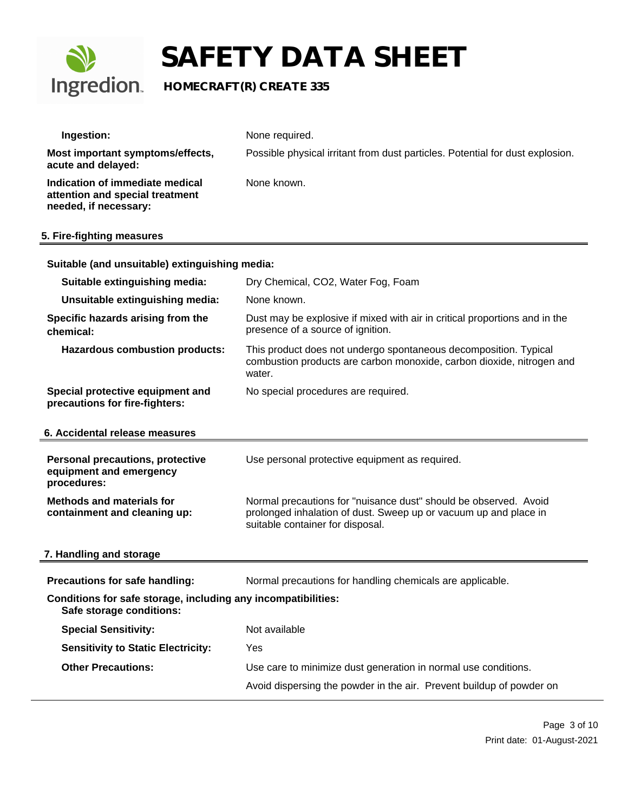

## **Ingredion.** HOMECRAFT(R) CREATE 335

| Ingestion:                                                                                  | None required.                                                                                                                                                           |
|---------------------------------------------------------------------------------------------|--------------------------------------------------------------------------------------------------------------------------------------------------------------------------|
| Most important symptoms/effects,<br>acute and delayed:                                      | Possible physical irritant from dust particles. Potential for dust explosion.                                                                                            |
| Indication of immediate medical<br>attention and special treatment<br>needed, if necessary: | None known.                                                                                                                                                              |
| 5. Fire-fighting measures                                                                   |                                                                                                                                                                          |
| Suitable (and unsuitable) extinguishing media:                                              |                                                                                                                                                                          |
| Suitable extinguishing media:                                                               | Dry Chemical, CO2, Water Fog, Foam                                                                                                                                       |
| Unsuitable extinguishing media:                                                             | None known.                                                                                                                                                              |
| Specific hazards arising from the<br>chemical:                                              | Dust may be explosive if mixed with air in critical proportions and in the<br>presence of a source of ignition.                                                          |
| <b>Hazardous combustion products:</b>                                                       | This product does not undergo spontaneous decomposition. Typical<br>combustion products are carbon monoxide, carbon dioxide, nitrogen and<br>water.                      |
| Special protective equipment and<br>precautions for fire-fighters:                          | No special procedures are required.                                                                                                                                      |
| 6. Accidental release measures                                                              |                                                                                                                                                                          |
| <b>Personal precautions, protective</b><br>equipment and emergency<br>procedures:           | Use personal protective equipment as required.                                                                                                                           |
| <b>Methods and materials for</b><br>containment and cleaning up:                            | Normal precautions for "nuisance dust" should be observed. Avoid<br>prolonged inhalation of dust. Sweep up or vacuum up and place in<br>suitable container for disposal. |
| 7. Handling and storage                                                                     |                                                                                                                                                                          |
| Precautions for safe handling:                                                              | Normal precautions for handling chemicals are applicable.                                                                                                                |
| Conditions for safe storage, including any incompatibilities:<br>Safe storage conditions:   |                                                                                                                                                                          |
| <b>Special Sensitivity:</b>                                                                 | Not available                                                                                                                                                            |
| <b>Sensitivity to Static Electricity:</b>                                                   | Yes                                                                                                                                                                      |

**Other Precautions:** Use care to minimize dust generation in normal use conditions.

Avoid dispersing the powder in the air. Prevent buildup of powder on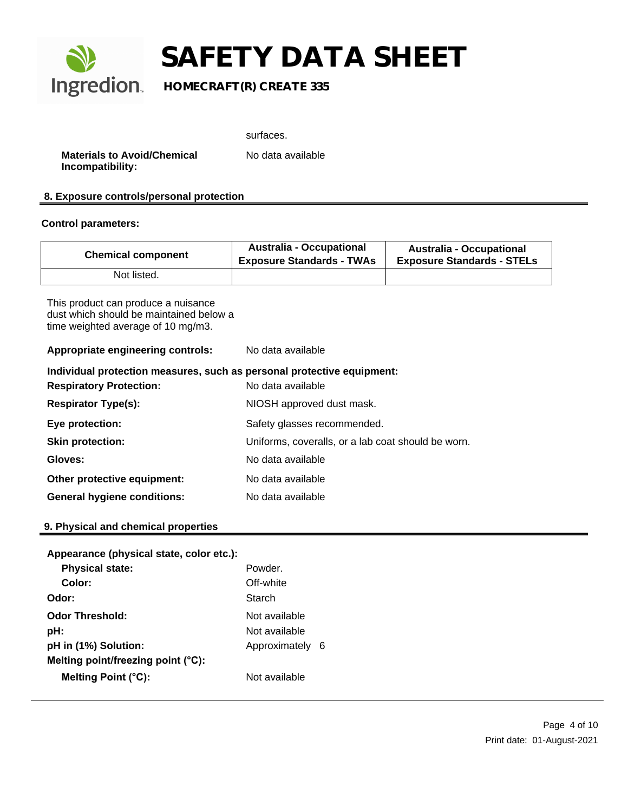

### **Ingredion** HOMECRAFT(R) CREATE 335

**Materials to Avoid/Chemical Incompatibility:**

surfaces.

No data available

### **8. Exposure controls/personal protection**

#### **Control parameters:**

| <b>Chemical component</b> | <b>Australia - Occupational</b><br><b>Exposure Standards - TWAs</b> | <b>Australia - Occupational</b><br><b>Exposure Standards - STELs</b> |
|---------------------------|---------------------------------------------------------------------|----------------------------------------------------------------------|
| Not listed.               |                                                                     |                                                                      |

This product can produce a nuisance dust which should be maintained below a time weighted average of 10 mg/m3.

**Appropriate engineering controls:** No data available

| Individual protection measures, such as personal protective equipment: |                                                    |  |
|------------------------------------------------------------------------|----------------------------------------------------|--|
| <b>Respiratory Protection:</b>                                         | No data available                                  |  |
| <b>Respirator Type(s):</b>                                             | NIOSH approved dust mask.                          |  |
| Eye protection:                                                        | Safety glasses recommended.                        |  |
| <b>Skin protection:</b>                                                | Uniforms, coveralls, or a lab coat should be worn. |  |
| Gloves:                                                                | No data available                                  |  |
| Other protective equipment:                                            | No data available                                  |  |
| <b>General hygiene conditions:</b>                                     | No data available                                  |  |

### **9. Physical and chemical properties**

| Appearance (physical state, color etc.): |               |     |
|------------------------------------------|---------------|-----|
| <b>Physical state:</b>                   | Powder        |     |
| Color:                                   | Off-white     |     |
| Odor:                                    | Starch        |     |
| <b>Odor Threshold:</b>                   | Not available |     |
| pH:                                      | Not available |     |
| pH in (1%) Solution:                     | Approximately | - 6 |
| Melting point/freezing point (°C):       |               |     |
| <b>Melting Point (°C):</b>               | Not available |     |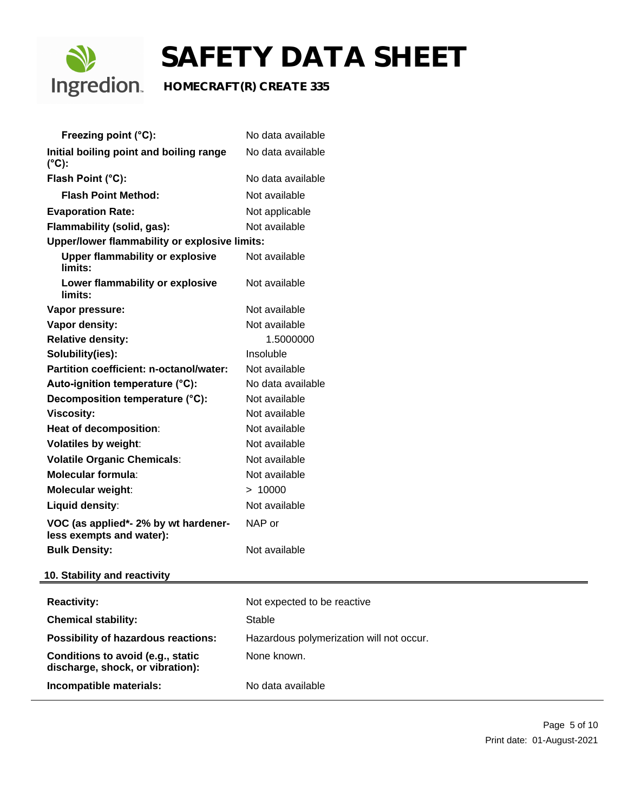

## **Ingredion** HOMECRAFT(R) CREATE 335

| Freezing point (°C):                                                  | No data available                        |
|-----------------------------------------------------------------------|------------------------------------------|
| Initial boiling point and boiling range<br>$(^{\circ}C)$ :            | No data available                        |
| Flash Point (°C):                                                     | No data available                        |
| <b>Flash Point Method:</b>                                            | Not available                            |
| <b>Evaporation Rate:</b>                                              | Not applicable                           |
| Flammability (solid, gas):                                            | Not available                            |
| Upper/lower flammability or explosive limits:                         |                                          |
| <b>Upper flammability or explosive</b><br>limits:                     | Not available                            |
| Lower flammability or explosive<br>limits:                            | Not available                            |
| Vapor pressure:                                                       | Not available                            |
| Vapor density:                                                        | Not available                            |
| <b>Relative density:</b>                                              | 1.5000000                                |
| Solubility(ies):                                                      | Insoluble                                |
| <b>Partition coefficient: n-octanol/water:</b>                        | Not available                            |
| Auto-ignition temperature (°C):                                       | No data available                        |
| Decomposition temperature (°C):                                       | Not available                            |
| <b>Viscosity:</b>                                                     | Not available                            |
| Heat of decomposition:                                                | Not available                            |
| <b>Volatiles by weight:</b>                                           | Not available                            |
| <b>Volatile Organic Chemicals:</b>                                    | Not available                            |
| <b>Molecular formula:</b>                                             | Not available                            |
| Molecular weight:                                                     | > 10000                                  |
| Liquid density:                                                       | Not available                            |
| VOC (as applied*- 2% by wt hardener-<br>less exempts and water):      | NAP or                                   |
| <b>Bulk Density:</b>                                                  | Not available                            |
| 10. Stability and reactivity                                          |                                          |
| <b>Reactivity:</b>                                                    | Not expected to be reactive              |
| <b>Chemical stability:</b>                                            | <b>Stable</b>                            |
| Possibility of hazardous reactions:                                   | Hazardous polymerization will not occur. |
| Conditions to avoid (e.g., static<br>discharge, shock, or vibration): | None known.                              |
| Incompatible materials:                                               | No data available                        |
|                                                                       |                                          |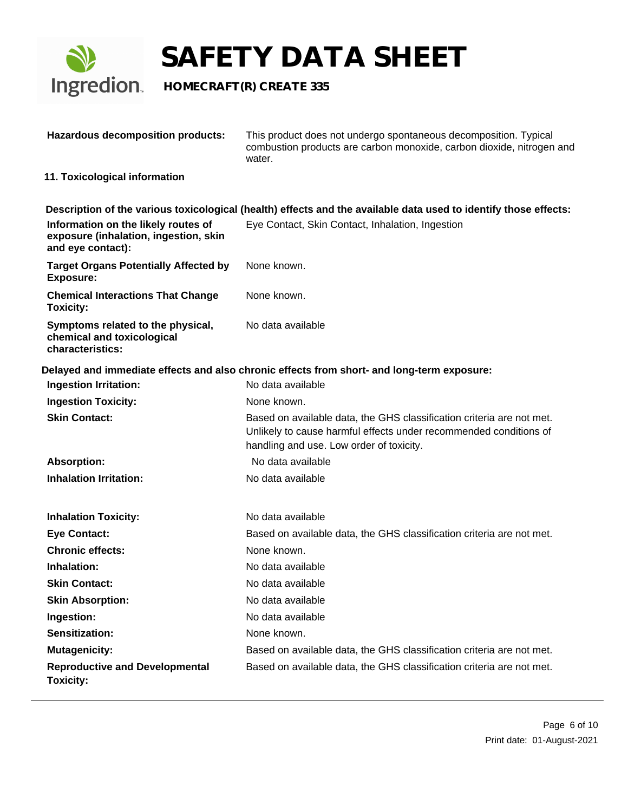

| <b>Hazardous decomposition products:</b>                                                          | This product does not undergo spontaneous decomposition. Typical<br>combustion products are carbon monoxide, carbon dioxide, nitrogen and<br>water.                                    |
|---------------------------------------------------------------------------------------------------|----------------------------------------------------------------------------------------------------------------------------------------------------------------------------------------|
| 11. Toxicological information                                                                     |                                                                                                                                                                                        |
|                                                                                                   | Description of the various toxicological (health) effects and the available data used to identify those effects:                                                                       |
| Information on the likely routes of<br>exposure (inhalation, ingestion, skin<br>and eye contact): | Eye Contact, Skin Contact, Inhalation, Ingestion                                                                                                                                       |
| <b>Target Organs Potentially Affected by</b><br><b>Exposure:</b>                                  | None known.                                                                                                                                                                            |
| <b>Chemical Interactions That Change</b><br><b>Toxicity:</b>                                      | None known.                                                                                                                                                                            |
| Symptoms related to the physical,<br>chemical and toxicological<br>characteristics:               | No data available                                                                                                                                                                      |
|                                                                                                   | Delayed and immediate effects and also chronic effects from short- and long-term exposure:                                                                                             |
| <b>Ingestion Irritation:</b>                                                                      | No data available                                                                                                                                                                      |
| <b>Ingestion Toxicity:</b>                                                                        | None known.                                                                                                                                                                            |
| <b>Skin Contact:</b>                                                                              | Based on available data, the GHS classification criteria are not met.<br>Unlikely to cause harmful effects under recommended conditions of<br>handling and use. Low order of toxicity. |
| <b>Absorption:</b>                                                                                | No data available                                                                                                                                                                      |
| <b>Inhalation Irritation:</b>                                                                     | No data available                                                                                                                                                                      |
| <b>Inhalation Toxicity:</b>                                                                       | No data available                                                                                                                                                                      |
| <b>Eye Contact:</b>                                                                               | Based on available data, the GHS classification criteria are not met.                                                                                                                  |
| <b>Chronic effects:</b>                                                                           | None known.                                                                                                                                                                            |
| Inhalation:                                                                                       | No data available                                                                                                                                                                      |
| <b>Skin Contact:</b>                                                                              | No data available                                                                                                                                                                      |
| <b>Skin Absorption:</b>                                                                           | No data available                                                                                                                                                                      |
| Ingestion:                                                                                        | No data available                                                                                                                                                                      |
| Sensitization:                                                                                    | None known.                                                                                                                                                                            |
| <b>Mutagenicity:</b>                                                                              | Based on available data, the GHS classification criteria are not met.                                                                                                                  |
| <b>Reproductive and Developmental</b><br><b>Toxicity:</b>                                         | Based on available data, the GHS classification criteria are not met.                                                                                                                  |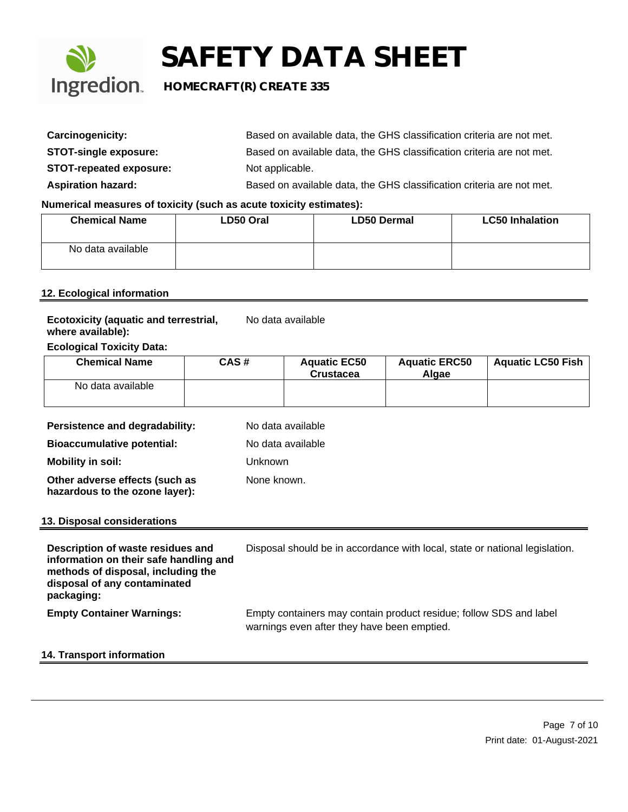

### **Ingredion** HOMECRAFT(R) CREATE 335

| Carcinogenicity:               | Based on available data, the GHS classification criteria are not met. |
|--------------------------------|-----------------------------------------------------------------------|
| <b>STOT-single exposure:</b>   | Based on available data, the GHS classification criteria are not met. |
| <b>STOT-repeated exposure:</b> | Not applicable.                                                       |
| <b>Aspiration hazard:</b>      | Based on available data, the GHS classification criteria are not met. |

### **Numerical measures of toxicity (such as acute toxicity estimates):**

| <b>Chemical Name</b> | LD50 Oral | <b>LD50 Dermal</b> | <b>LC50 Inhalation</b> |
|----------------------|-----------|--------------------|------------------------|
| No data available    |           |                    |                        |

### **12. Ecological information**

| <b>Ecotoxicity (aquatic and terrestrial,</b> | No data available |
|----------------------------------------------|-------------------|
| where available):                            |                   |

### **Ecological Toxicity Data:**

| <b>Chemical Name</b> | CAS# | <b>Aquatic EC50</b><br><b>Crustacea</b> | <b>Aquatic ERC50</b><br>Algae | <b>Aquatic LC50 Fish</b> |
|----------------------|------|-----------------------------------------|-------------------------------|--------------------------|
| No data available    |      |                                         |                               |                          |

| Persistence and degradability:                                                                                                                                  | No data available                                                           |
|-----------------------------------------------------------------------------------------------------------------------------------------------------------------|-----------------------------------------------------------------------------|
| <b>Bioaccumulative potential:</b>                                                                                                                               | No data available                                                           |
| <b>Mobility in soil:</b>                                                                                                                                        | Unknown                                                                     |
| Other adverse effects (such as<br>hazardous to the ozone layer):                                                                                                | None known.                                                                 |
| 13. Disposal considerations                                                                                                                                     |                                                                             |
|                                                                                                                                                                 |                                                                             |
| Description of waste residues and<br>information on their safe handling and<br>methods of disposal, including the<br>disposal of any contaminated<br>packaging: | Disposal should be in accordance with local, state or national legislation. |

### **14. Transport information**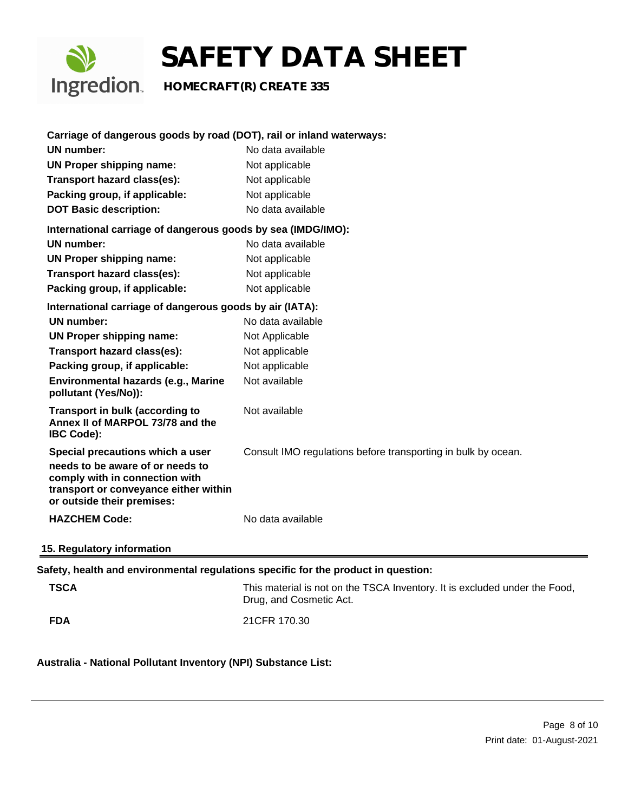

| Carriage of dangerous goods by road (DOT), rail or inland waterways:                                                                                                          |                                                                                                       |
|-------------------------------------------------------------------------------------------------------------------------------------------------------------------------------|-------------------------------------------------------------------------------------------------------|
| <b>UN number:</b>                                                                                                                                                             | No data available                                                                                     |
| <b>UN Proper shipping name:</b>                                                                                                                                               | Not applicable                                                                                        |
| Transport hazard class(es):                                                                                                                                                   | Not applicable                                                                                        |
| Packing group, if applicable:                                                                                                                                                 | Not applicable                                                                                        |
| <b>DOT Basic description:</b>                                                                                                                                                 | No data available                                                                                     |
| International carriage of dangerous goods by sea (IMDG/IMO):                                                                                                                  |                                                                                                       |
| <b>UN</b> number:                                                                                                                                                             | No data available                                                                                     |
| <b>UN Proper shipping name:</b>                                                                                                                                               | Not applicable                                                                                        |
| Transport hazard class(es):                                                                                                                                                   | Not applicable                                                                                        |
| Packing group, if applicable:                                                                                                                                                 | Not applicable                                                                                        |
| International carriage of dangerous goods by air (IATA):                                                                                                                      |                                                                                                       |
| <b>UN number:</b>                                                                                                                                                             | No data available                                                                                     |
| <b>UN Proper shipping name:</b>                                                                                                                                               | Not Applicable                                                                                        |
| Transport hazard class(es):                                                                                                                                                   | Not applicable                                                                                        |
| Packing group, if applicable:                                                                                                                                                 | Not applicable                                                                                        |
| Environmental hazards (e.g., Marine<br>pollutant (Yes/No)):                                                                                                                   | Not available                                                                                         |
| <b>Transport in bulk (according to</b><br>Annex II of MARPOL 73/78 and the<br><b>IBC Code):</b>                                                                               | Not available                                                                                         |
| Special precautions which a user<br>needs to be aware of or needs to<br>comply with in connection with<br>transport or conveyance either within<br>or outside their premises: | Consult IMO regulations before transporting in bulk by ocean.                                         |
| <b>HAZCHEM Code:</b>                                                                                                                                                          | No data available                                                                                     |
| 15. Regulatory information                                                                                                                                                    |                                                                                                       |
|                                                                                                                                                                               | Safety, health and environmental regulations specific for the product in question:                    |
| <b>TSCA</b>                                                                                                                                                                   | This material is not on the TSCA Inventory. It is excluded under the Food,<br>Drug, and Cosmetic Act. |
| <b>FDA</b>                                                                                                                                                                    | 21CFR 170.30                                                                                          |

**Australia - National Pollutant Inventory (NPI) Substance List:**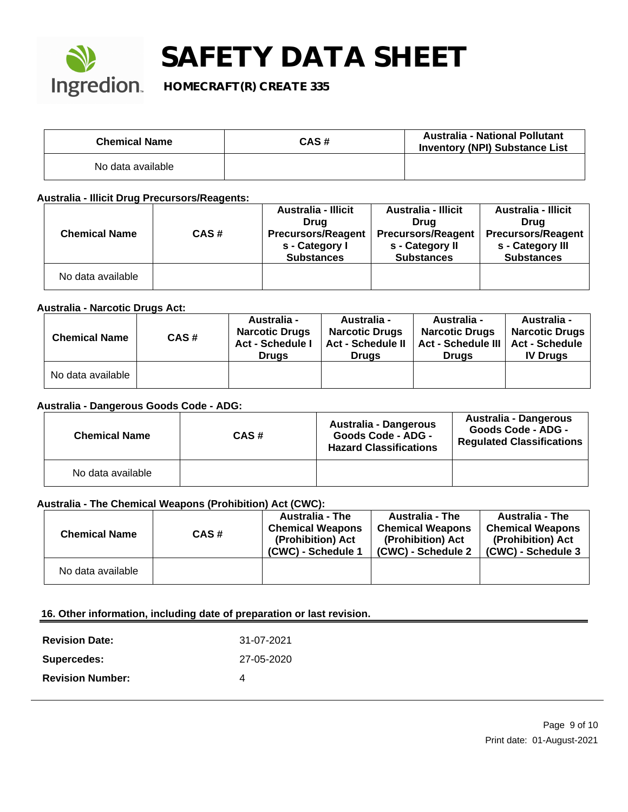

### **Ingredion** HOMECRAFT(R) CREATE 335

| <b>Chemical Name</b> | CAS# | <b>Australia - National Pollutant</b><br><b>Inventory (NPI) Substance List</b> |
|----------------------|------|--------------------------------------------------------------------------------|
| No data available    |      |                                                                                |

### **Australia - Illicit Drug Precursors/Reagents:**

|                      |      | <b>Australia - Illicit</b> | <b>Australia - Illicit</b> | <b>Australia - Illicit</b> |
|----------------------|------|----------------------------|----------------------------|----------------------------|
|                      |      | Drua                       | Drua                       | Drua                       |
| <b>Chemical Name</b> | CAS# | <b>Precursors/Reagent</b>  | <b>Precursors/Reagent</b>  | Precursors/Reagent         |
|                      |      | s - Category I             | s - Category II            | s - Category III           |
|                      |      | <b>Substances</b>          | <b>Substances</b>          | <b>Substances</b>          |
| No data available    |      |                            |                            |                            |

### **Australia - Narcotic Drugs Act:**

| <b>Chemical Name</b> | CAS# | <b>Australia -</b><br><b>Narcotic Drugs</b><br><b>Act - Schedule I</b><br><b>Drugs</b> | <b>Australia -</b><br><b>Narcotic Drugs</b><br><b>Act - Schedule II</b><br><b>Drugs</b> | <b>Australia -</b><br><b>Narcotic Drugs</b><br><b>Act - Schedule III</b><br><b>Drugs</b> | Australia -<br>Narcotic Drugs  <br><b>Act - Schedule</b><br><b>IV Drugs</b> |
|----------------------|------|----------------------------------------------------------------------------------------|-----------------------------------------------------------------------------------------|------------------------------------------------------------------------------------------|-----------------------------------------------------------------------------|
| No data available    |      |                                                                                        |                                                                                         |                                                                                          |                                                                             |

### **Australia - Dangerous Goods Code - ADG:**

| <b>Chemical Name</b> | CAS# | Australia - Dangerous<br><b>Goods Code - ADG -</b><br><b>Hazard Classifications</b> | Australia - Dangerous<br>Goods Code - ADG -<br><b>Regulated Classifications</b> |
|----------------------|------|-------------------------------------------------------------------------------------|---------------------------------------------------------------------------------|
| No data available    |      |                                                                                     |                                                                                 |

### **Australia - The Chemical Weapons (Prohibition) Act (CWC):**

| <b>Chemical Name</b> | CAS# | <b>Australia - The</b><br><b>Chemical Weapons</b><br>(Prohibition) Act<br>(CWC) - Schedule 1 | <b>Australia - The</b><br><b>Chemical Weapons</b><br>(Prohibition) Act<br>(CWC) - Schedule 2 | <b>Australia - The</b><br><b>Chemical Weapons</b><br>(Prohibition) Act<br>(CWC) - Schedule 3 |
|----------------------|------|----------------------------------------------------------------------------------------------|----------------------------------------------------------------------------------------------|----------------------------------------------------------------------------------------------|
| No data available    |      |                                                                                              |                                                                                              |                                                                                              |

### **16. Other information, including date of preparation or last revision.**

| <b>Revision Date:</b>   | 31-07-2021 |
|-------------------------|------------|
| Supercedes:             | 27-05-2020 |
| <b>Revision Number:</b> |            |